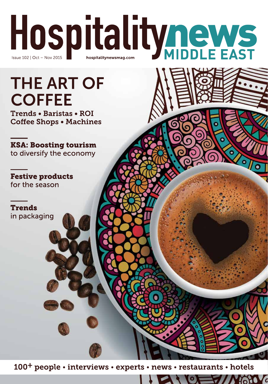

# **THE ART OF COFFEE**

Trends . Baristas . ROI **Coffee Shops . Machines** 

**KSA: Boosting tourism** to diversify the economy

**Festive products** for the season

**Trends** in packaging

100<sup>+</sup> people • interviews • experts • news • restaurants • hotels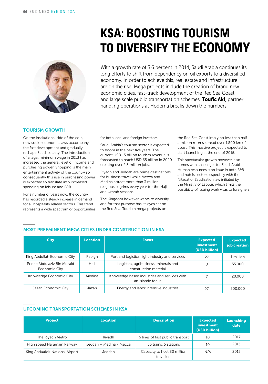

# **KSA: Boosting tourism to diversify the economy**

With a growth rate of 3.6 percent in 2014, Saudi Arabia continues its long efforts to shift from dependency on oil exports to a diversified economy. In order to achieve this, real estate and infrastructure are on the rise. Mega projects include the creation of brand new economic cities, fast-track development of the Red Sea Coast and large scale public transportation schemes. Toufic Akl, partner handling operations at Hodema breaks down the numbers

## Tourism growth

On the institutional side of the coin, new socio-economic laws accompany the fast development and gradually reshape Saudi society. The introduction of a legal minimum wage in 2013 has increased the general level of income and purchasing power. Shopping is the main entertainment activity of the country so consequently this rise in purchasing power is expected to translate into increased spending on leisure and F&B.

For a number of years now, the country has recorded a steady increase in demand for all hospitality related sectors. This trend represents a wide spectrum of opportunities for both local and foreign investors.

Saudi Arabia's tourism sector is expected to boom in the next five years. The current USD 15 billion tourism revenue is forecasted to reach USD 65 billion in 2020 creating over 2.3 million jobs.

Riyadh and Jeddah are prime destinations for business travel while Mecca and Medina attract more than 3 million religious pilgrims every year for the Hajj and Umrah seasons.

The Kingdom however wants to diversify and for that purpose has its eyes set on the Red Sea. Tourism mega projects on

the Red Sea Coast imply no less than half a million rooms spread over 1,800 km of coast. This massive project is expected to start launching at the end of 2015.

This spectacular growth however, also comes with challenges for Saudi Arabia. Human resources is an issue in both F&B and hotels sectors, especially with the Nitaqat or Saudization law initiated by the Ministry of Labour, which limits the possibility of issuing work visas to foreigners.

## Most preeminent mega cities under construction in KSA

| <b>City</b>                                  | Location | <b>Focus</b>                                                     | <b>Expected</b><br>investment<br>(USD billion) | <b>Expected</b><br>job creation |
|----------------------------------------------|----------|------------------------------------------------------------------|------------------------------------------------|---------------------------------|
| King Abdullah Economic City                  | Rabigh   | Port and logistics, light industry and services                  | 27                                             | 1 million                       |
| Prince Abdulaziz Bin Musaid<br>Economic City | Hail     | Logistics, agribusiness, minerals and<br>construction material   | 8                                              | 55,000                          |
| Knowledge Economic City                      | Medina   | Knowledge based industries and services with<br>an Islamic focus |                                                | 20,000                          |
| Jazan Economic City                          | Jazan    | Energy and labor intensive industries                            | 27                                             | 500,000                         |

# Upcoming transportation schemes in KSA

| <b>Project</b>                  | <b>Location</b>         | <b>Description</b>                        | <b>Expected</b><br>investment<br>(USD billion) | Launching<br>date |
|---------------------------------|-------------------------|-------------------------------------------|------------------------------------------------|-------------------|
| The Riyadh Metro                | Riyadh                  | 6 lines of fast public transport          | 10                                             | 2017              |
| High speed Haramain Railway     | Jeddah - Medina - Mecca | 35 trains, 5 stations                     | 10                                             | 2015              |
| King Abdualziz National Airport | Jeddah                  | Capacity to host 80 million<br>travellers | N/A                                            | 2015              |